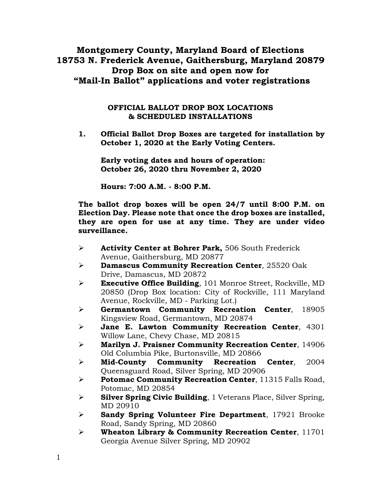# **Montgomery County, Maryland Board of Elections 18753 N. Frederick Avenue, Gaithersburg, Maryland 20879 Drop Box on site and open now for "Mail-In Ballot" applications and voter registrations**

#### **OFFICIAL BALLOT DROP BOX LOCATIONS & SCHEDULED INSTALLATIONS**

**1. Official Ballot Drop Boxes are targeted for installation by October 1, 2020 at the Early Voting Centers.**

**Early voting dates and hours of operation: October 26, 2020 thru November 2, 2020**

**Hours: 7:00 A.M. - 8:00 P.M.**

**The ballot drop boxes will be open 24/7 until 8:00 P.M. on Election Day. Please note that once the drop boxes are installed, they are open for use at any time. They are under video surveillance.** 

- ➢ **Activity Center at Bohrer Park,** 506 South Frederick Avenue, Gaithersburg, MD 20877
- ➢ **Damascus Community Recreation Center**, 25520 Oak Drive, Damascus, MD 20872
- ➢ **Executive Office Building**, 101 Monroe Street, Rockville, MD 20850 (Drop Box location: City of Rockville, 111 Maryland Avenue, Rockville, MD - Parking Lot.)
- ➢ **Germantown Community Recreation Center**, 18905 Kingsview Road, Germantown, MD 20874
- ➢ **Jane E. Lawton Community Recreation Center**, 4301 Willow Lane, Chevy Chase, MD 20815
- ➢ **Marilyn J. Praisner Community Recreation Center**, 14906 Old Columbia Pike, Burtonsville, MD 20866
- ➢ **Mid-County Community Recreation Center**, 2004 Queensguard Road, Silver Spring, MD 20906
- ➢ **Potomac Community Recreation Center**, 11315 Falls Road, Potomac, MD 20854
- ➢ **Silver Spring Civic Building**, 1 Veterans Place, Silver Spring, MD 20910
- ➢ **Sandy Spring Volunteer Fire Department**, 17921 Brooke Road, Sandy Spring, MD 20860
- ➢ **Wheaton Library & Community Recreation Center**, 11701 Georgia Avenue Silver Spring, MD 20902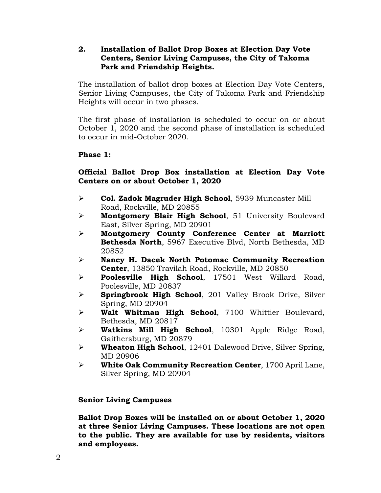### **2. Installation of Ballot Drop Boxes at Election Day Vote Centers, Senior Living Campuses, the City of Takoma Park and Friendship Heights.**

The installation of ballot drop boxes at Election Day Vote Centers, Senior Living Campuses, the City of Takoma Park and Friendship Heights will occur in two phases.

The first phase of installation is scheduled to occur on or about October 1, 2020 and the second phase of installation is scheduled to occur in mid-October 2020.

# **Phase 1:**

# **Official Ballot Drop Box installation at Election Day Vote Centers on or about October 1, 2020**

- ➢ **Col. Zadok Magruder High School**, 5939 Muncaster Mill Road, Rockville, MD 20855
- ➢ **Montgomery Blair High School**, 51 University Boulevard East, Silver Spring, MD 20901
- ➢ **Montgomery County Conference Center at Marriott Bethesda North**, 5967 Executive Blvd, North Bethesda, MD 20852
- ➢ **Nancy H. Dacek North Potomac Community Recreation Center**, 13850 Travilah Road, Rockville, MD 20850
- ➢ **Poolesville High School**, 17501 West Willard Road, Poolesville, MD 20837
- ➢ **Springbrook High School**, 201 Valley Brook Drive, Silver Spring, MD 20904
- ➢ **Walt Whitman High School**, 7100 Whittier Boulevard, Bethesda, MD 20817
- ➢ **Watkins Mill High School**, 10301 Apple Ridge Road, Gaithersburg, MD 20879
- ➢ **Wheaton High School**, 12401 Dalewood Drive, Silver Spring, MD 20906
- ➢ **White Oak Community Recreation Center**, 1700 April Lane, Silver Spring, MD 20904

### **Senior Living Campuses**

**Ballot Drop Boxes will be installed on or about October 1, 2020 at three Senior Living Campuses. These locations are not open to the public. They are available for use by residents, visitors and employees.**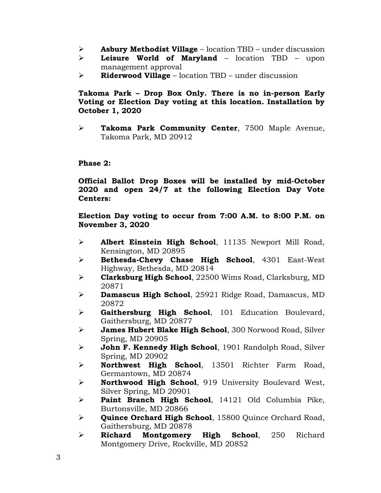- ➢ **Asbury Methodist Village**  location TBD under discussion
- ➢ **Leisure World of Maryland** location TBD upon management approval
- ➢ **Riderwood Village** location TBD under discussion

# **Takoma Park – Drop Box Only. There is no in-person Early Voting or Election Day voting at this location. Installation by October 1, 2020**

➢ **Takoma Park Community Center**, 7500 Maple Avenue, Takoma Park, MD 20912

# **Phase 2:**

**Official Ballot Drop Boxes will be installed by mid-October 2020 and open 24/7 at the following Election Day Vote Centers:**

**Election Day voting to occur from 7:00 A.M. to 8:00 P.M. on November 3, 2020**

- ➢ **Albert Einstein High School**, 11135 Newport Mill Road, Kensington, MD 20895
- ➢ **Bethesda-Chevy Chase High School**, 4301 East-West Highway, Bethesda, MD 20814
- ➢ **Clarksburg High School**, 22500 Wims Road, Clarksburg, MD 20871
- ➢ **Damascus High School**, 25921 Ridge Road, Damascus, MD 20872
- ➢ **Gaithersburg High School**, 101 Education Boulevard, Gaithersburg, MD 20877
- ➢ **James Hubert Blake High School**, 300 Norwood Road, Silver Spring, MD 20905
- ➢ **John F. Kennedy High School**, 1901 Randolph Road, Silver Spring, MD 20902
- ➢ **Northwest High School**, 13501 Richter Farm Road, Germantown, MD 20874
- ➢ **Northwood High School**, 919 University Boulevard West, Silver Spring, MD 20901
- ➢ **Paint Branch High School**, 14121 Old Columbia Pike, Burtonsville, MD 20866
- ➢ **Quince Orchard High School**, 15800 Quince Orchard Road, Gaithersburg, MD 20878
- ➢ **Richard Montgomery High School**, 250 Richard Montgomery Drive, Rockville, MD 20852